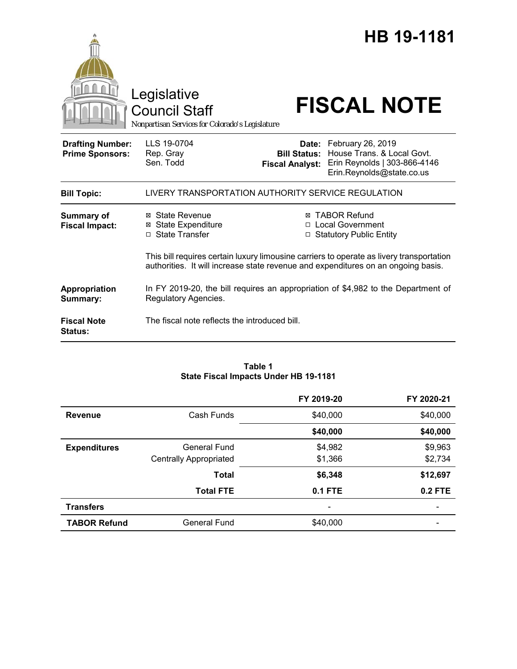|                                                   | Legislative<br><b>Council Staff</b><br>Nonpartisan Services for Colorado's Legislature                                                                                        | HB 19-1181<br><b>FISCAL NOTE</b>                                                                                                                                    |  |  |
|---------------------------------------------------|-------------------------------------------------------------------------------------------------------------------------------------------------------------------------------|---------------------------------------------------------------------------------------------------------------------------------------------------------------------|--|--|
| <b>Drafting Number:</b><br><b>Prime Sponsors:</b> | LLS 19-0704<br>Rep. Gray<br>Sen. Todd                                                                                                                                         | Date: February 26, 2019<br>House Trans, & Local Govt.<br><b>Bill Status:</b><br>Erin Reynolds   303-866-4146<br><b>Fiscal Analyst:</b><br>Erin.Reynolds@state.co.us |  |  |
| <b>Bill Topic:</b>                                | LIVERY TRANSPORTATION AUTHORITY SERVICE REGULATION                                                                                                                            |                                                                                                                                                                     |  |  |
| <b>Summary of</b><br><b>Fiscal Impact:</b>        | ⊠ State Revenue<br><b>⊠ State Expenditure</b><br>□ State Transfer                                                                                                             | <b>TABOR Refund</b><br>⊠<br>□ Local Government<br>□ Statutory Public Entity                                                                                         |  |  |
|                                                   | This bill requires certain luxury limousine carriers to operate as livery transportation<br>authorities. It will increase state revenue and expenditures on an ongoing basis. |                                                                                                                                                                     |  |  |
| Appropriation<br>Summary:                         | In FY 2019-20, the bill requires an appropriation of \$4,982 to the Department of<br>Regulatory Agencies.                                                                     |                                                                                                                                                                     |  |  |
| <b>Fiscal Note</b><br><b>Status:</b>              | The fiscal note reflects the introduced bill.                                                                                                                                 |                                                                                                                                                                     |  |  |

#### **Table 1 State Fiscal Impacts Under HB 19-1181**

|                     |                               | FY 2019-20               | FY 2020-21 |
|---------------------|-------------------------------|--------------------------|------------|
| <b>Revenue</b>      | Cash Funds                    | \$40,000                 | \$40,000   |
|                     |                               | \$40,000                 | \$40,000   |
| <b>Expenditures</b> | <b>General Fund</b>           | \$4,982                  | \$9,963    |
|                     | <b>Centrally Appropriated</b> | \$1,366                  | \$2,734    |
|                     | <b>Total</b>                  | \$6,348                  | \$12,697   |
|                     | <b>Total FTE</b>              | $0.1$ FTE                | $0.2$ FTE  |
| <b>Transfers</b>    |                               | $\overline{\phantom{0}}$ |            |
| <b>TABOR Refund</b> | <b>General Fund</b>           | \$40,000                 |            |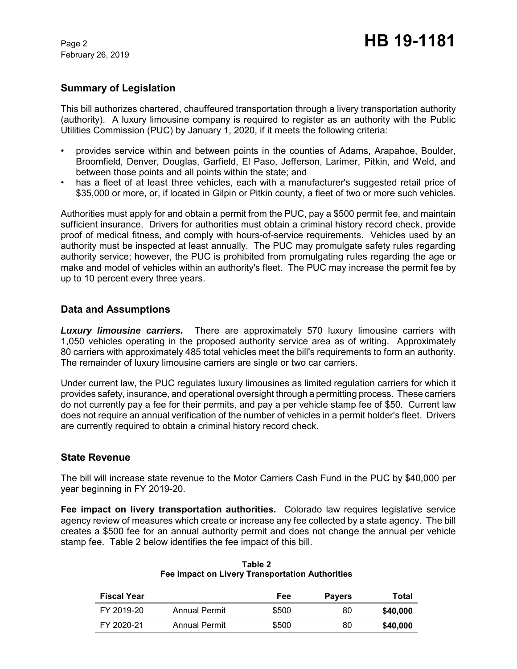February 26, 2019

## **Summary of Legislation**

This bill authorizes chartered, chauffeured transportation through a livery transportation authority (authority). A luxury limousine company is required to register as an authority with the Public Utilities Commission (PUC) by January 1, 2020, if it meets the following criteria:

- provides service within and between points in the counties of Adams, Arapahoe, Boulder, Broomfield, Denver, Douglas, Garfield, El Paso, Jefferson, Larimer, Pitkin, and Weld, and between those points and all points within the state; and
- has a fleet of at least three vehicles, each with a manufacturer's suggested retail price of \$35,000 or more, or, if located in Gilpin or Pitkin county, a fleet of two or more such vehicles.

Authorities must apply for and obtain a permit from the PUC, pay a \$500 permit fee, and maintain sufficient insurance. Drivers for authorities must obtain a criminal history record check, provide proof of medical fitness, and comply with hours-of-service requirements. Vehicles used by an authority must be inspected at least annually. The PUC may promulgate safety rules regarding authority service; however, the PUC is prohibited from promulgating rules regarding the age or make and model of vehicles within an authority's fleet. The PUC may increase the permit fee by up to 10 percent every three years.

## **Data and Assumptions**

*Luxury limousine carriers.* There are approximately 570 luxury limousine carriers with 1,050 vehicles operating in the proposed authority service area as of writing. Approximately 80 carriers with approximately 485 total vehicles meet the bill's requirements to form an authority. The remainder of luxury limousine carriers are single or two car carriers.

Under current law, the PUC regulates luxury limousines as limited regulation carriers for which it provides safety, insurance, and operational oversight through a permitting process. These carriers do not currently pay a fee for their permits, and pay a per vehicle stamp fee of \$50. Current law does not require an annual verification of the number of vehicles in a permit holder's fleet. Drivers are currently required to obtain a criminal history record check.

## **State Revenue**

The bill will increase state revenue to the Motor Carriers Cash Fund in the PUC by \$40,000 per year beginning in FY 2019-20.

**Fee impact on livery transportation authorities.** Colorado law requires legislative service agency review of measures which create or increase any fee collected by a state agency. The bill creates a \$500 fee for an annual authority permit and does not change the annual per vehicle stamp fee. Table 2 below identifies the fee impact of this bill.

| <b>Fiscal Year</b> |               | Fee   | <b>Payers</b> | Total    |
|--------------------|---------------|-------|---------------|----------|
| FY 2019-20         | Annual Permit | \$500 | 80            | \$40,000 |
| FY 2020-21         | Annual Permit | \$500 | 80            | \$40,000 |

**Table 2 Fee Impact on Livery Transportation Authorities**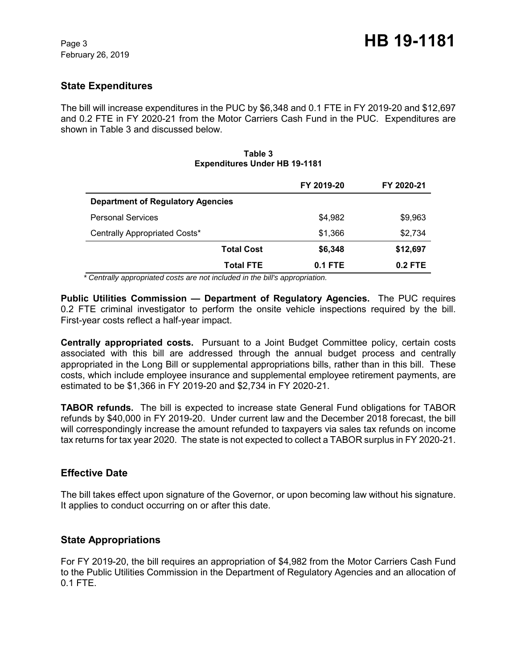# **State Expenditures**

The bill will increase expenditures in the PUC by \$6,348 and 0.1 FTE in FY 2019-20 and \$12,697 and 0.2 FTE in FY 2020-21 from the Motor Carriers Cash Fund in the PUC. Expenditures are shown in Table 3 and discussed below.

| <b>EXPERIGIUS ORGET HD 13-1101</b>       |            |            |  |  |  |
|------------------------------------------|------------|------------|--|--|--|
|                                          | FY 2019-20 | FY 2020-21 |  |  |  |
| <b>Department of Regulatory Agencies</b> |            |            |  |  |  |
| <b>Personal Services</b>                 | \$4,982    | \$9,963    |  |  |  |
| Centrally Appropriated Costs*            | \$1,366    | \$2,734    |  |  |  |
| <b>Total Cost</b>                        | \$6,348    | \$12,697   |  |  |  |
| <b>Total FTE</b>                         | $0.1$ FTE  | $0.2$ FTE  |  |  |  |

#### **Table 3** Expenditures Under **HB** 10-1191

 *\* Centrally appropriated costs are not included in the bill's appropriation.*

**Public Utilities Commission — Department of Regulatory Agencies.** The PUC requires 0.2 FTE criminal investigator to perform the onsite vehicle inspections required by the bill. First-year costs reflect a half-year impact.

**Centrally appropriated costs.** Pursuant to a Joint Budget Committee policy, certain costs associated with this bill are addressed through the annual budget process and centrally appropriated in the Long Bill or supplemental appropriations bills, rather than in this bill. These costs, which include employee insurance and supplemental employee retirement payments, are estimated to be \$1,366 in FY 2019-20 and \$2,734 in FY 2020-21.

**TABOR refunds.** The bill is expected to increase state General Fund obligations for TABOR refunds by \$40,000 in FY 2019-20. Under current law and the December 2018 forecast, the bill will correspondingly increase the amount refunded to taxpayers via sales tax refunds on income tax returns for tax year 2020. The state is not expected to collect a TABOR surplus in FY 2020-21.

## **Effective Date**

The bill takes effect upon signature of the Governor, or upon becoming law without his signature. It applies to conduct occurring on or after this date.

## **State Appropriations**

For FY 2019-20, the bill requires an appropriation of \$4,982 from the Motor Carriers Cash Fund to the Public Utilities Commission in the Department of Regulatory Agencies and an allocation of 0.1 FTE.